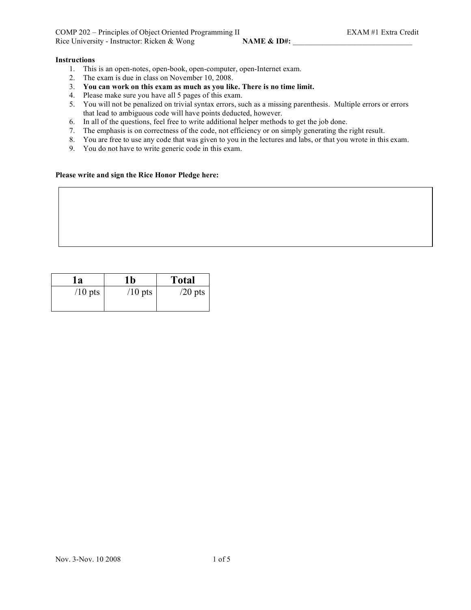COMP 202 – Principles of Object Oriented Programming II EXAM #1 Extra Credit Rice University - Instructor: Ricken & Wong **NAME** & ID#:

# **Instructions**

- 1. This is an open-notes, open-book, open-computer, open-Internet exam.
- 2. The exam is due in class on November 10, 2008.
- 3. **You can work on this exam as much as you like. There is no time limit.**
- 4. Please make sure you have all 5 pages of this exam.
- 5. You will not be penalized on trivial syntax errors, such as a missing parenthesis. Multiple errors or errors that lead to ambiguous code will have points deducted, however.
- 6. In all of the questions, feel free to write additional helper methods to get the job done.
- 7. The emphasis is on correctness of the code, not efficiency or on simply generating the right result.
- 8. You are free to use any code that was given to you in the lectures and labs, or that you wrote in this exam.
- 9. You do not have to write generic code in this exam.

# **Please write and sign the Rice Honor Pledge here:**

| 1a        | l b       | <b>Total</b> |
|-----------|-----------|--------------|
| $/10$ pts | $/10$ pts | $/20$ pts    |
|           |           |              |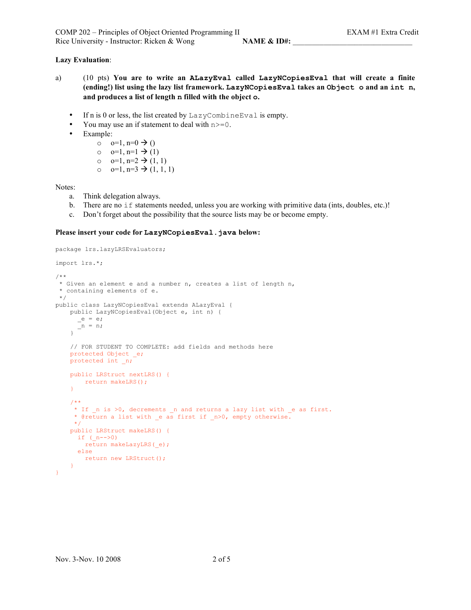# **Lazy Evaluation**:

- a) (10 pts) **You are to write an ALazyEval called LazyNCopiesEval that will create a finite (ending!) list using the lazy list framework. LazyNCopiesEval takes an Object o and an int n, and produces a list of length n filled with the object o.**
	- If n is 0 or less, the list created by LazyCombineEval is empty.
	- You may use an if statement to deal with  $n \ge 0$ .
	- Example:
		- $o = 0, n=0 \rightarrow 0$
		- $o = 0=1, n=1 \rightarrow (1)$
		- o  $o=1$ ,  $n=2 \rightarrow (1, 1)$
		- o  $o=1$ ,  $n=3 \rightarrow (1, 1, 1)$

Notes:

- a. Think delegation always.
- b. There are no  $if$  statements needed, unless you are working with primitive data (ints, doubles, etc.)!
- c. Don't forget about the possibility that the source lists may be or become empty.

## **Please insert your code for LazyNCopiesEval.java below:**

```
package lrs.lazyLRSEvaluators;
import lrs.*;
/**
* Given an element e and a number n, creates a list of length n,
* containing elements of e.
*/
public class LazyNCopiesEval extends ALazyEval {
   public LazyNCopiesEval(Object e, int n) {
     e = e;
     n = n;}
   // FOR STUDENT TO COMPLETE: add fields and methods here
   protected Object _e;
   protected int _n;
   public LRStruct nextLRS() {
      return makeLRS();
    }
   /**
    * If n is >0, decrements n and returns a lazy list with e as first.
    * @return a list with e as first if n>0, empty otherwise.
     */
   public LRStruct makeLRS() {
     if (n-->0)
       return makeLazyLRS(_e);
     else
       return new LRStruct();
   }
}
```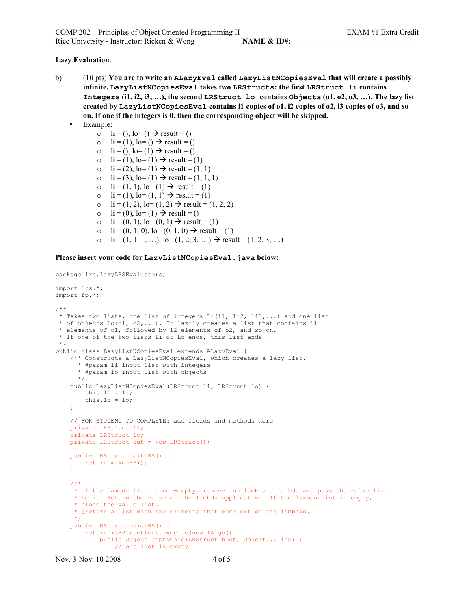COMP 202 – Principles of Object Oriented Programming II EXAM #1 Extra Credit Rice University - Instructor: Ricken & Wong **NAME & ID#:** 

### **Lazy Evaluation**:

- b) (10 pts) **You are to write an ALazyEval called LazyListNCopiesEval that will create a possibly infinite. LazyListNCopiesEval takes two LRStructs: the first LRStruct li contains Integers (i1, i2, i3, …), the second LRStruct lo contains Objects (o1, o2, o3, …). The lazy list created by LazyListNCopiesEval contains i1 copies of o1, i2 copies of o2, i3 copies of o3, and so on. If one if the integers is 0, then the corresponding object will be skipped.**
	- Example:
		- o li = (), lo= ()  $\rightarrow$  result = ()
		- o li = (1), lo= ()  $\rightarrow$  result = ()
		- o  $\text{li} = ()$ ,  $\text{lo} = (1) \rightarrow \text{result} = ()$
		- o li = (1), lo= (1)  $\rightarrow$  result = (1)
		- o  $\text{li} = (2), \text{lo} = (1) \rightarrow \text{result} = (1, 1)$
		- o  $\text{li} = (3), \text{lo} = (1) \rightarrow \text{result} = (1, 1, 1)$
		- o  $\text{li} = (1, 1), \text{lo} = (1) \rightarrow \text{result} = (1)$
		- o  $\text{li} = (1), \text{lo} = (1, 1) \rightarrow \text{result} = (1)$
		- o  $\text{li} = (1, 2), \text{lo} = (1, 2) \rightarrow \text{result} = (1, 2, 2)$
		- $\circ$  li = (0), lo= (1)  $\rightarrow$  result = ()
		- o  $\text{li} = (0, 1), \text{lo} = (0, 1) \rightarrow \text{result} = (1)$
		- o  $\text{li} = (0, 1, 0), \text{lo} = (0, 1, 0) \rightarrow \text{result} = (1)$
		- o li =  $(1, 1, 1, ...)$ , lo=  $(1, 2, 3, ...)$   $\rightarrow$  result =  $(1, 2, 3, ...)$

### **Please insert your code for LazyListNCopiesEval.java below:**

```
package lrs.lazyLRSEvaluators;
import lrs.*;
import fp.*;
/**
* Takes two lists, one list of integers Li(i1, li2, li3,...) and one list
* of objects Lo(o1, o2,...). It lazily creates a list that contains il
* elements of o1, followed by i2 elements of o2, and so on.
* If one of the two lists Li or Lo ends, this list ends.
 */
public class LazyListNCopiesEval extends ALazyEval {
    /** Constructs a LazyListNCopiesEval, which creates a lazy list.
     * @param li input list with integers
      * @param lo input list with objects
     */
    public LazyListNCopiesEval(LRStruct li, LRStruct lo) {
       this. \mathbf{1} \mathbf{i} = \mathbf{1} \mathbf{i};
       this.lo = lo;
    }
    // FOR STUDENT TO COMPLETE: add fields and methods here
   private LRStruct li;
    private LRStruct lo;
   private LRStruct out = new LRStruct();
    public LRStruct nextLRS() {
       return makeLRS();
    }
    /**
     * If the lambda list is non-empty, remove the lambda a lambda and pass the value list
     * to it. Return the value of the lambda application. If the lambda list is empty,
     * clone the value list.
     * @return a list with the elements that come out of the lambdas.
     */
   public LRStruct makeLRS() {
        return (LRStruct)out.execute(new IAlgo() {
            public Object emptyCase(LRStruct host, Object... inp) {
                // out list is empty
```
Nov. 3-Nov. 10 2008 4 of 5